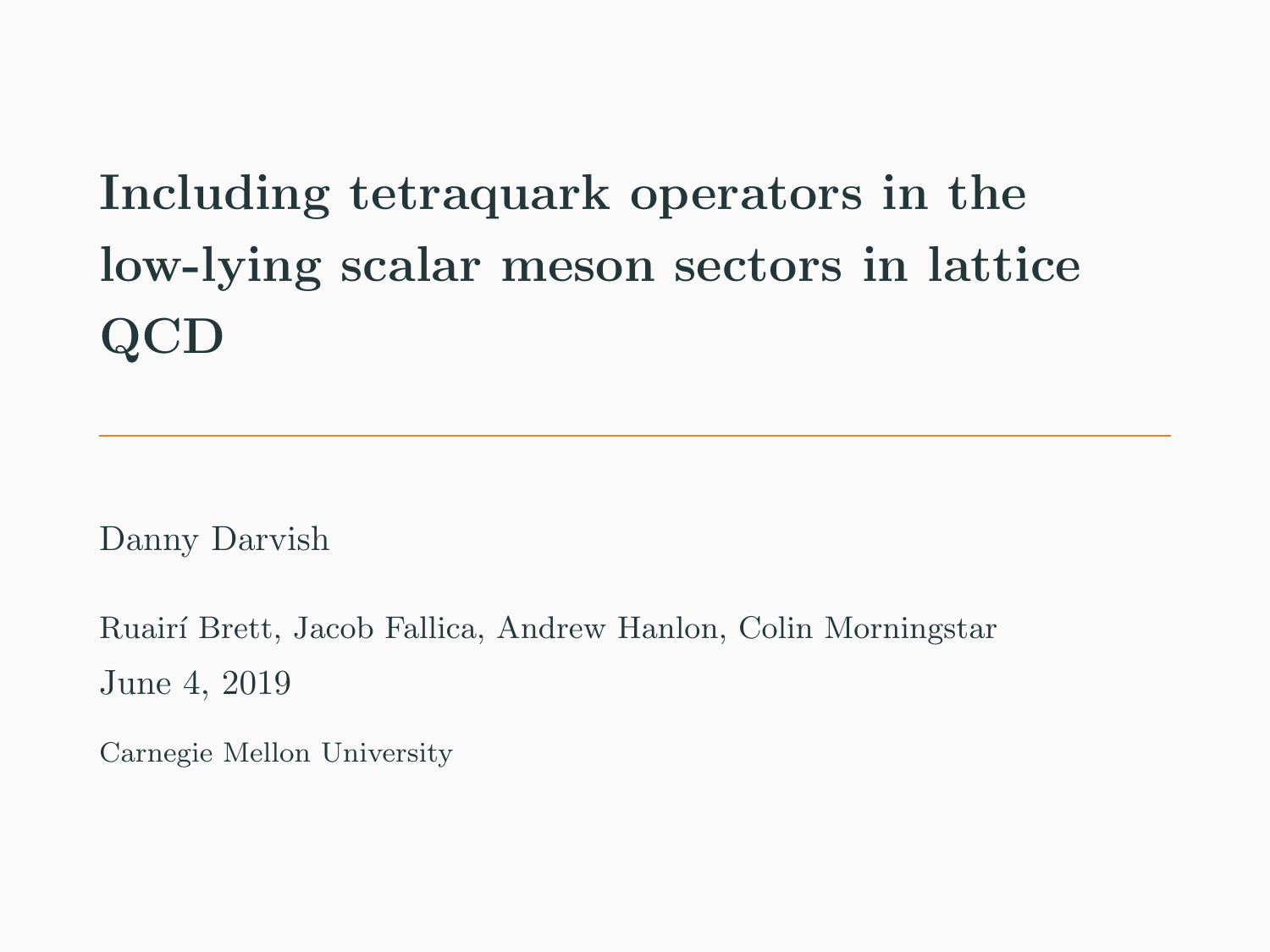# <span id="page-0-0"></span>Including tetraquark operators in the low-lying scalar meson sectors in lattice QCD

Danny Darvish

Ruair´ı Brett, Jacob Fallica, Andrew Hanlon, Colin Morningstar June 4, 2019

Carnegie Mellon University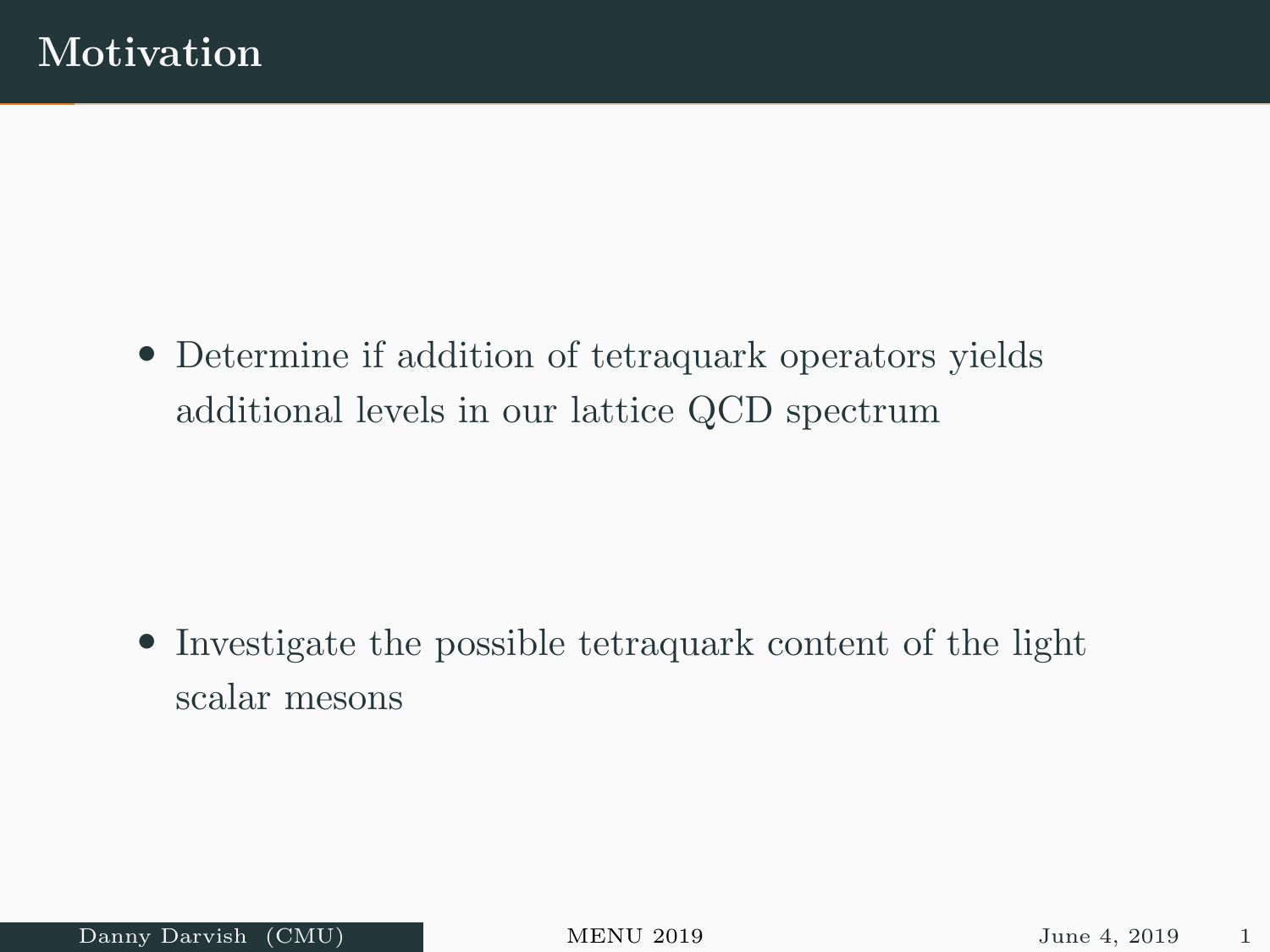• Determine if addition of tetraquark operators yields additional levels in our lattice QCD spectrum

• Investigate the possible tetraquark content of the light scalar mesons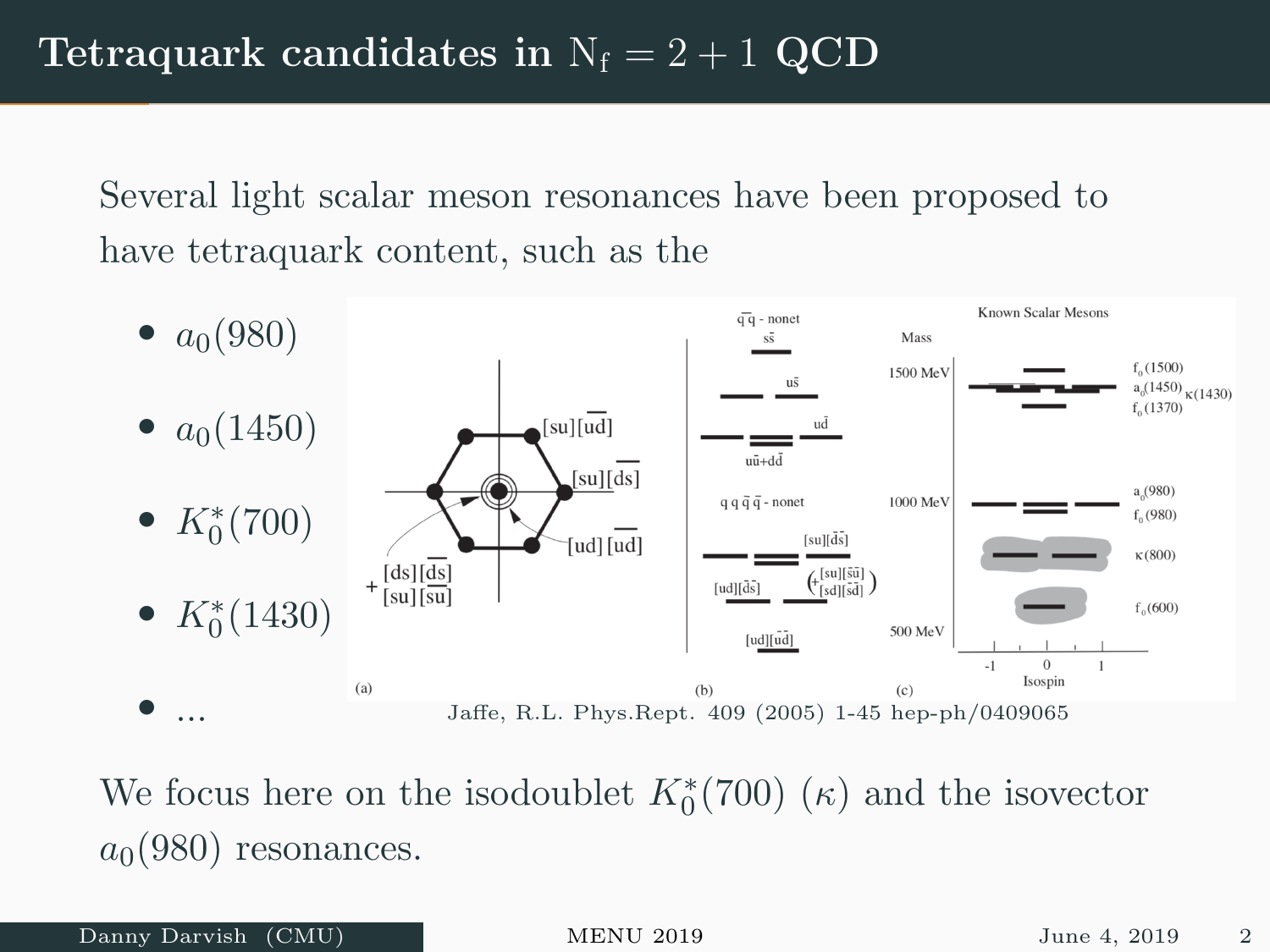Several light scalar meson resonances have been proposed to have tetraquark content, such as the



We focus here on the isodoublet  $K_0^*(700)$   $(\kappa)$  and the isovector  $a_0(980)$  resonances.

Danny Darvish (CMU) [MENU 2019](#page-0-0) June 4, 2019 2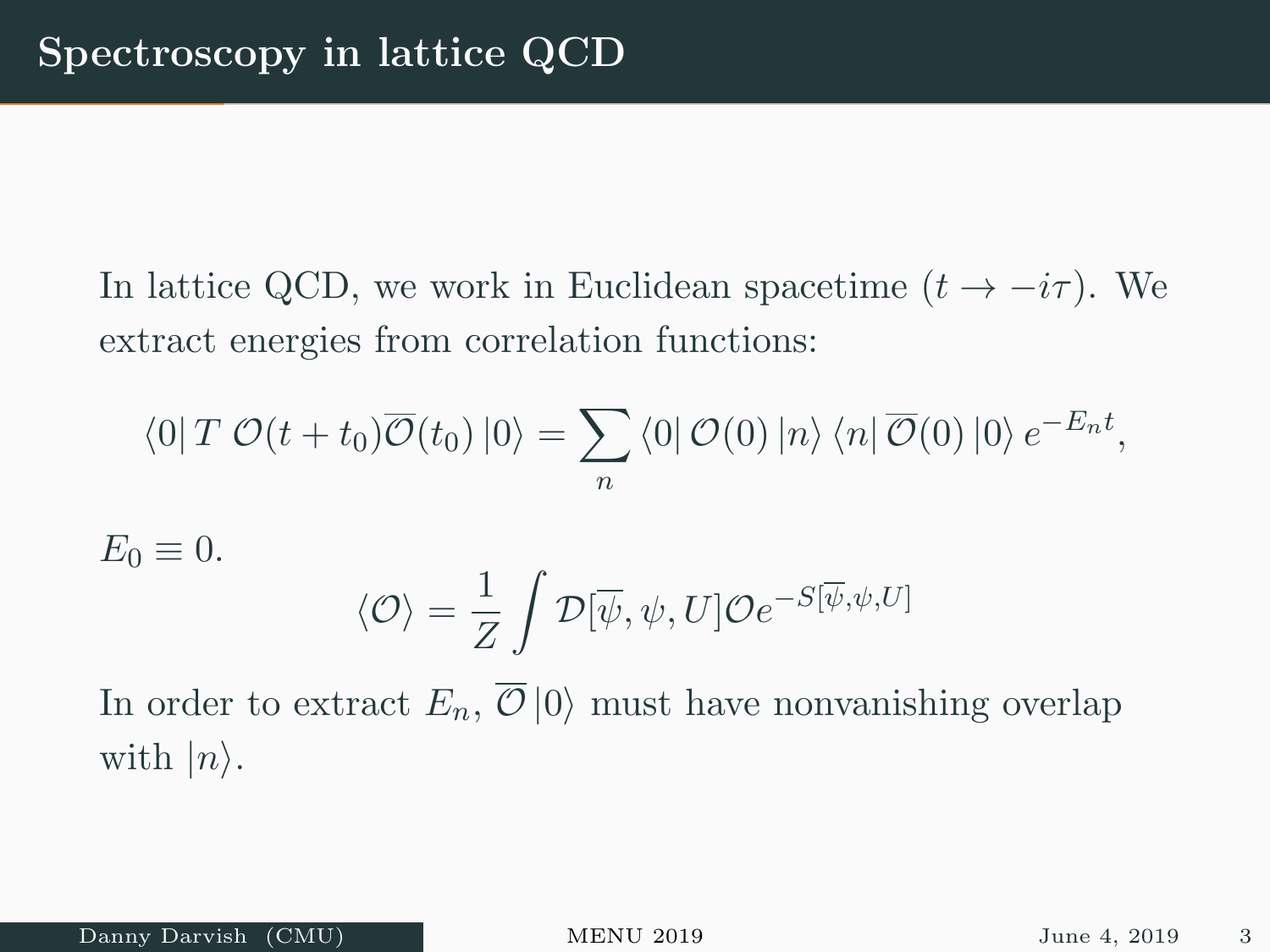In lattice QCD, we work in Euclidean spacetime  $(t \to -i\tau)$ . We extract energies from correlation functions:

$$
\langle 0|T \mathcal{O}(t+t_0) \overline{\mathcal{O}}(t_0) |0\rangle = \sum_n \langle 0| \mathcal{O}(0) |n\rangle \langle n| \overline{\mathcal{O}}(0) |0\rangle e^{-E_n t},
$$

$$
E_0 \equiv 0.
$$
  

$$
\langle \mathcal{O} \rangle = \frac{1}{Z} \int \mathcal{D}[\overline{\psi}, \psi, U] \mathcal{O}e^{-S[\overline{\psi}, \psi, U]}
$$

In order to extract  $E_n$ ,  $\overline{\mathcal{O}} |0\rangle$  must have nonvanishing overlap with  $|n\rangle$ .

Danny Darvish (CMU) [MENU 2019](#page-0-0) June 4, 2019 3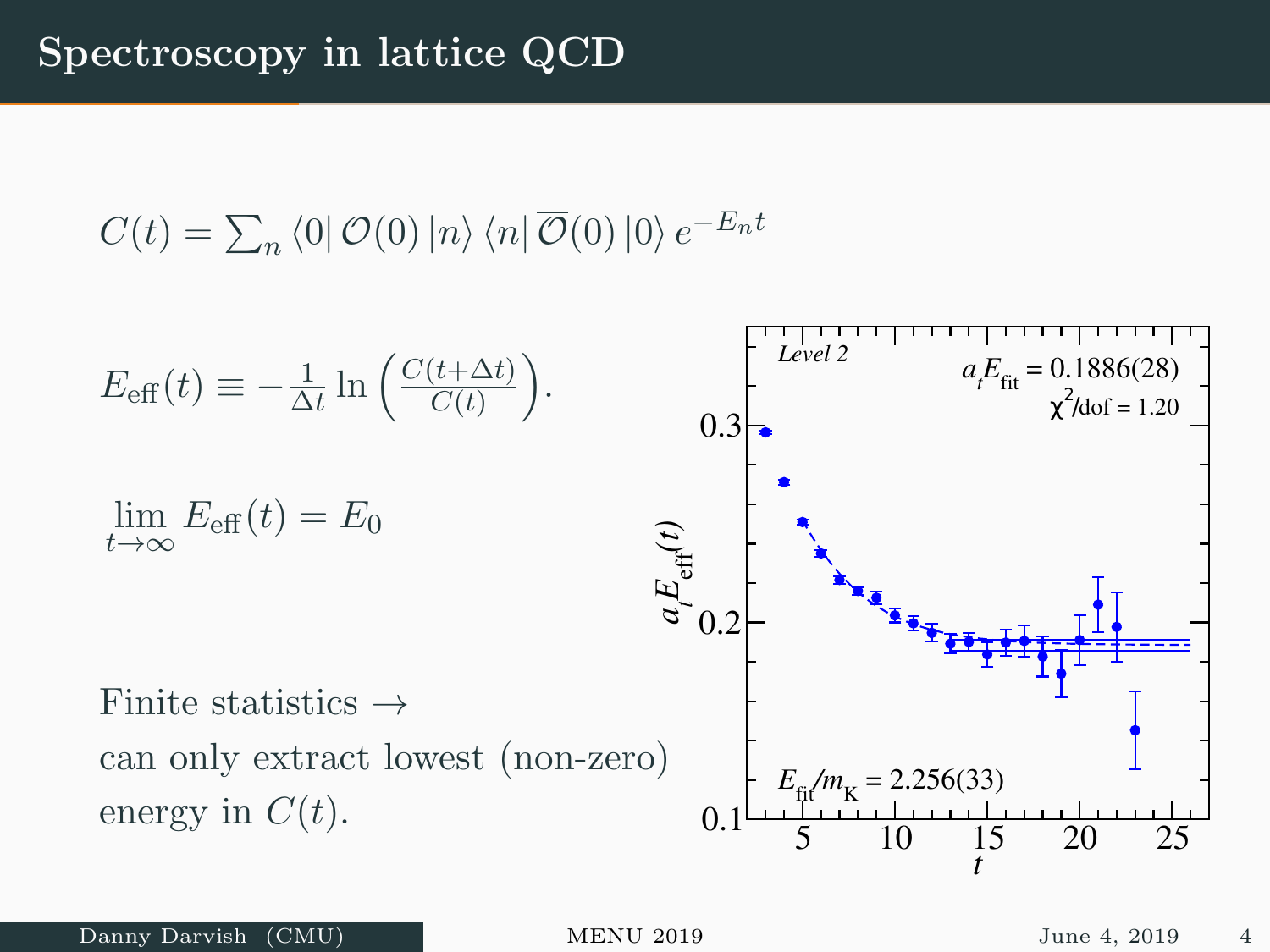$$
C(t) = \sum_{n} \langle 0 | O(0) | n \rangle \langle n | \overline{O}(0) | 0 \rangle e^{-E_n t}
$$

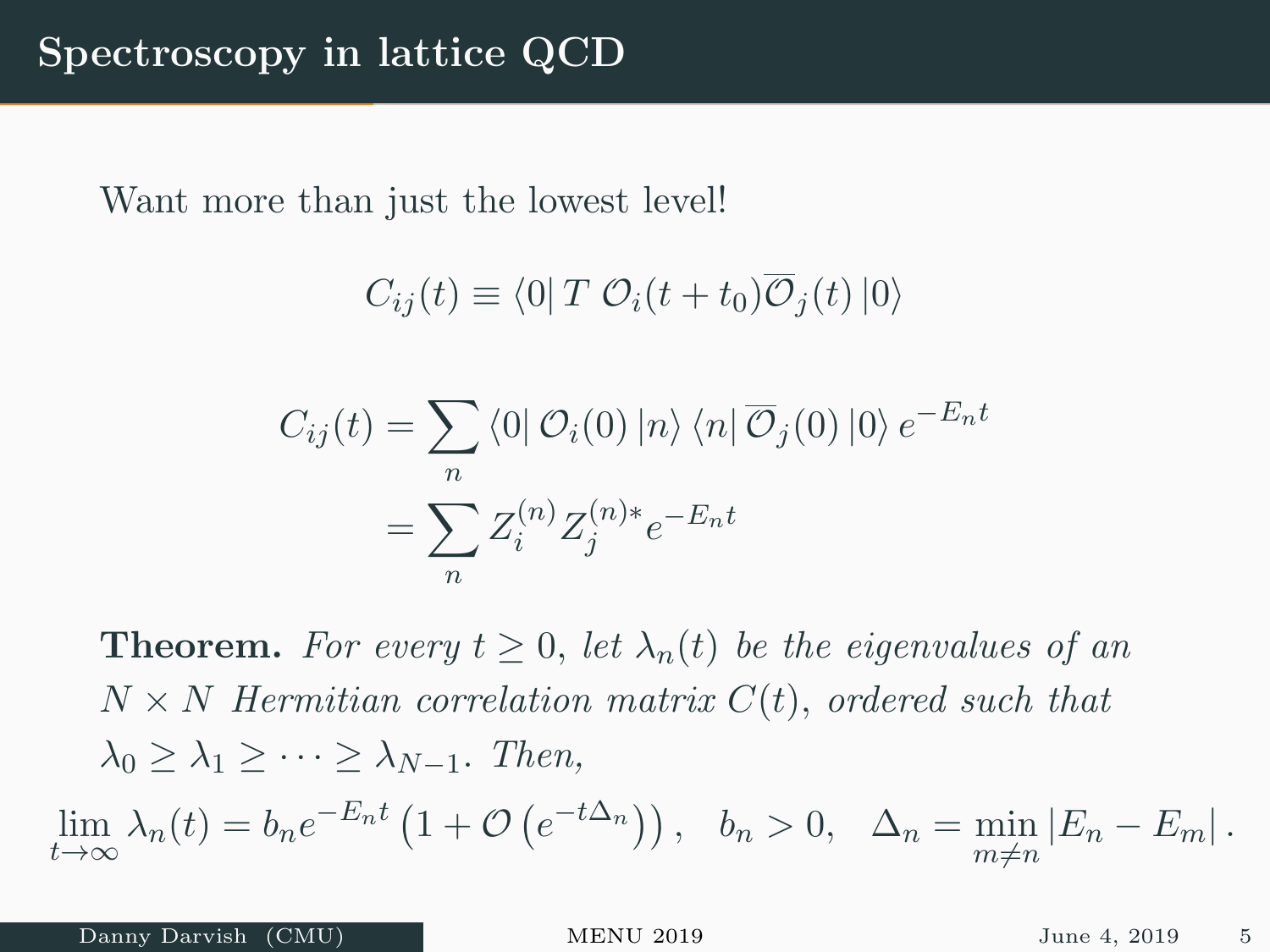Want more than just the lowest level!

$$
C_{ij}(t) \equiv \langle 0| T \mathcal{O}_i(t + t_0) \overline{\mathcal{O}}_j(t) |0\rangle
$$

$$
C_{ij}(t) = \sum_n \langle 0| \mathcal{O}_i(0) |n\rangle \langle n| \overline{\mathcal{O}}_j(0) |0\rangle e^{-E_n t}
$$

$$
= \sum_n Z_i^{(n)} Z_j^{(n)*} e^{-E_n t}
$$

**Theorem.** For every  $t \geq 0$ , let  $\lambda_n(t)$  be the eigenvalues of an  $N \times N$  Hermitian correlation matrix  $C(t)$ , ordered such that  $\lambda_0 > \lambda_1 > \cdots > \lambda_{N-1}$ . Then,

 $\lim_{t \to \infty} \lambda_n(t) = b_n e^{-E_n t} \left( 1 + \mathcal{O} \left( e^{-t \Delta_n} \right) \right), \quad b_n > 0, \quad \Delta_n = \min_{m \neq n} |E_n - E_m|.$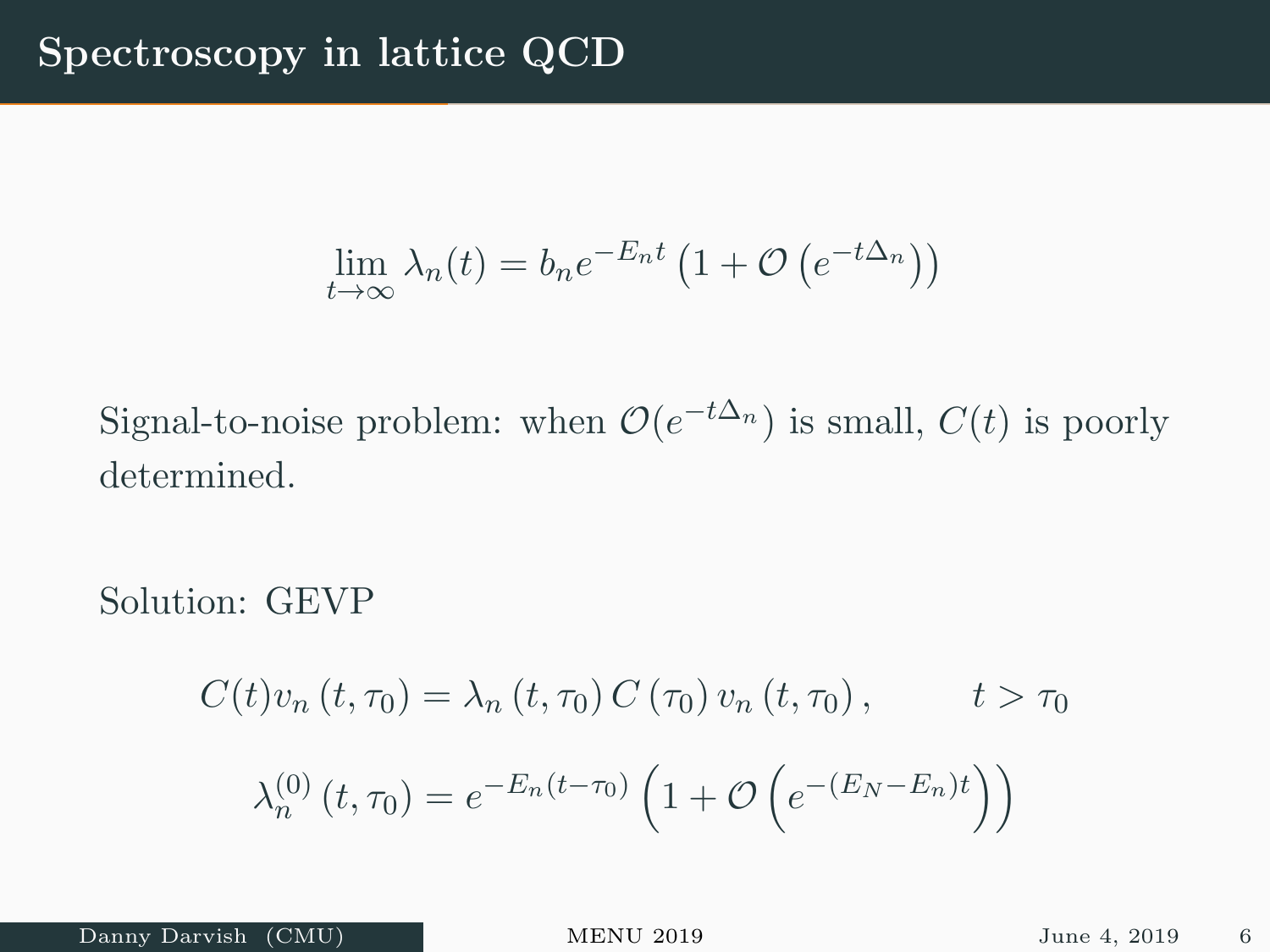$$
\lim_{t \to \infty} \lambda_n(t) = b_n e^{-E_n t} \left( 1 + \mathcal{O} \left( e^{-t \Delta_n} \right) \right)
$$

Signal-to-noise problem: when  $\mathcal{O}(e^{-t\Delta_n})$  is small,  $C(t)$  is poorly determined.

Solution: GEVP

$$
C(t)v_n(t, \tau_0) = \lambda_n(t, \tau_0) C(\tau_0) v_n(t, \tau_0), \qquad t > \tau_0
$$

$$
\lambda_n^{(0)}(t, \tau_0) = e^{-E_n(t - \tau_0)} \left( 1 + \mathcal{O}\left(e^{-(E_N - E_n)t}\right) \right)
$$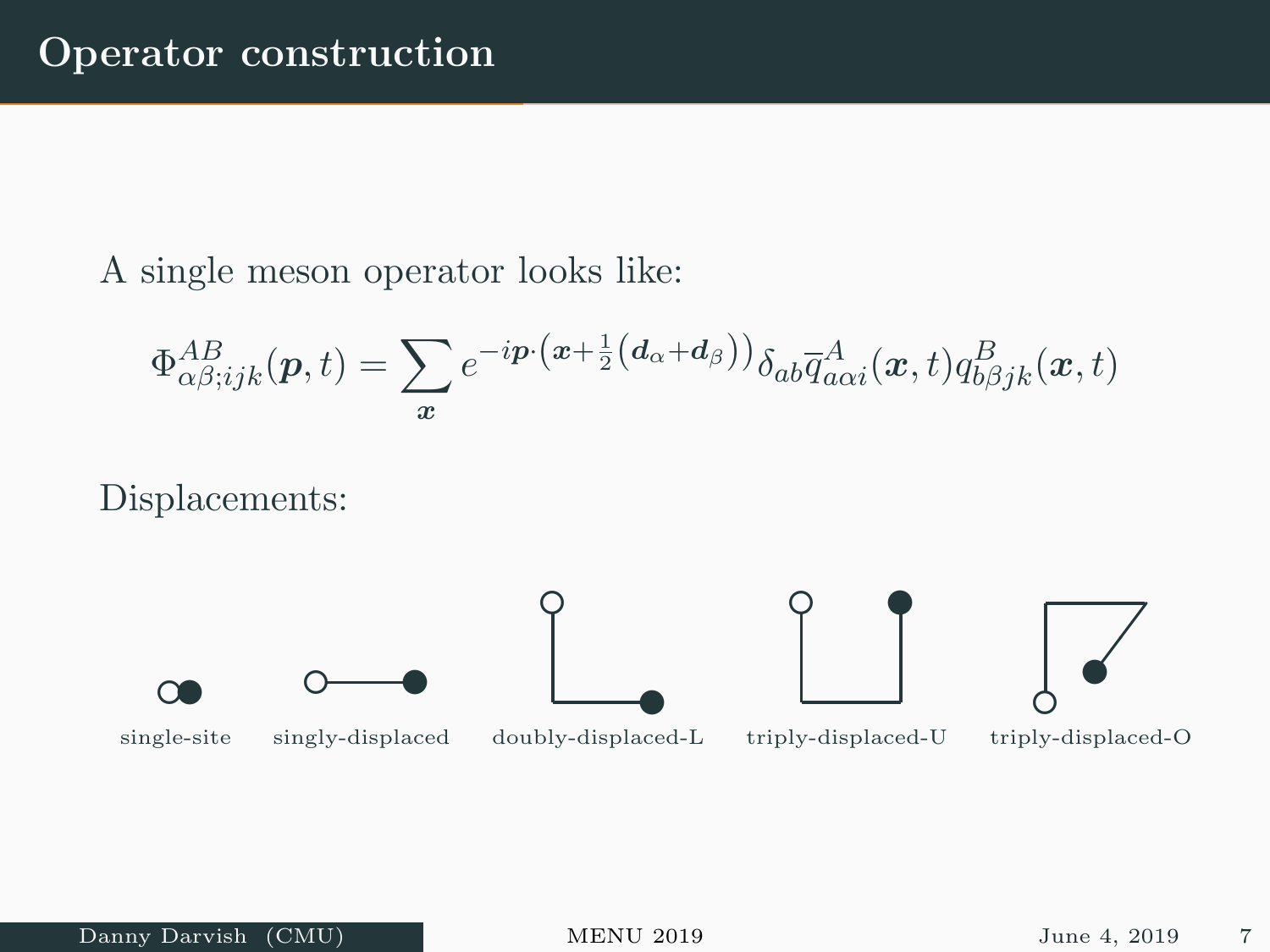#### A single meson operator looks like:

$$
\Phi^{AB}_{\alpha\beta;ijk}(\boldsymbol{p},t)=\sum_{\boldsymbol{x}}e^{-i\boldsymbol{p}\cdot(\boldsymbol{x}+\frac{1}{2}\left(\boldsymbol{d}_{\alpha}+\boldsymbol{d}_{\beta}\right))}\delta_{ab}\overline{q}^{A}_{a\alpha i}(\boldsymbol{x},t)q^{B}_{b\beta jk}(\boldsymbol{x},t)
$$

Displacements:

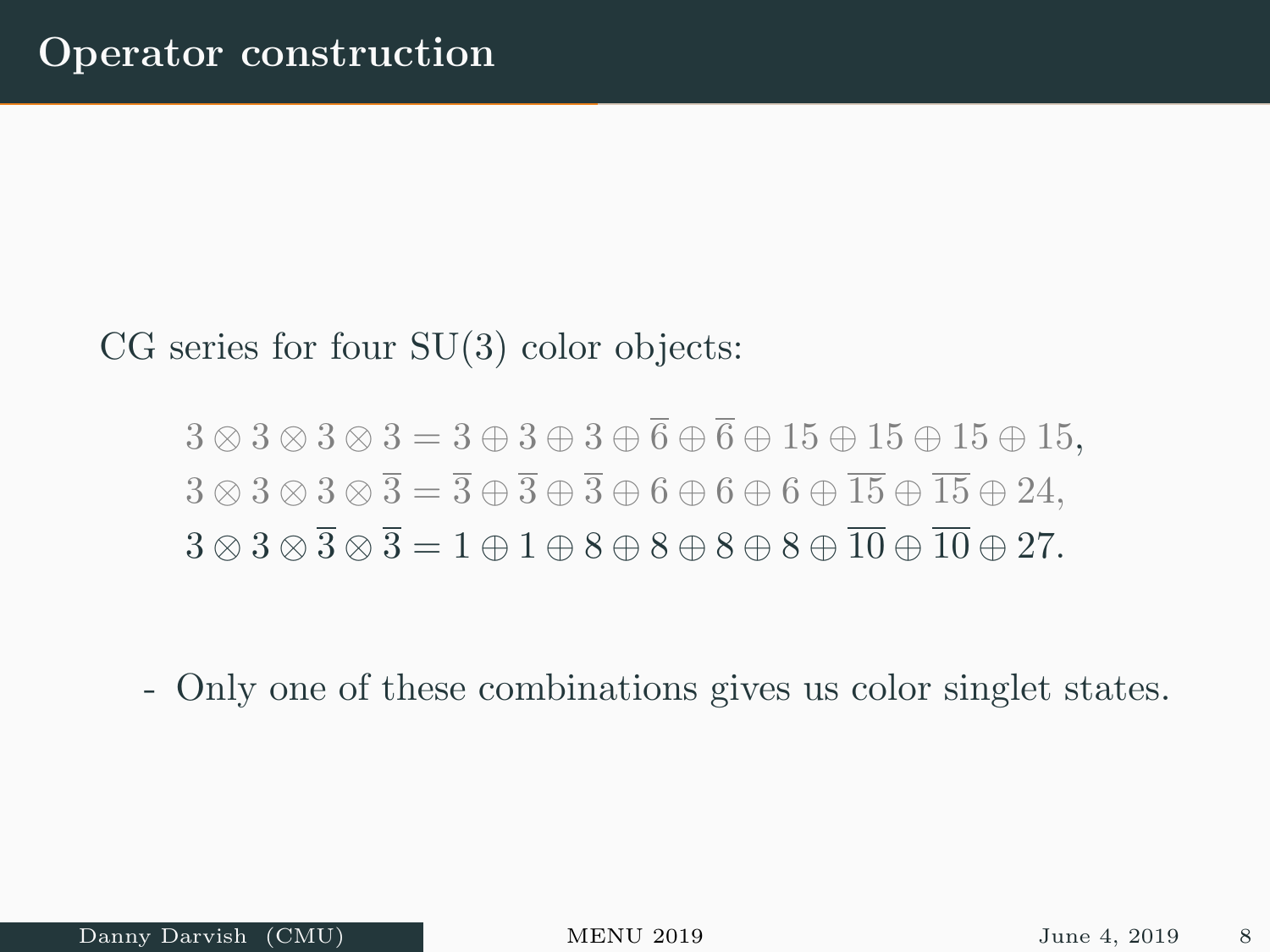#### CG series for four SU(3) color objects:

$$
3 \otimes 3 \otimes 3 \otimes 3 = 3 \oplus 3 \oplus \overline{6} \oplus \overline{6} \oplus 15 \oplus 15 \oplus 15 \oplus 15,
$$
  
\n
$$
3 \otimes 3 \otimes 3 \otimes \overline{3} = \overline{3} \oplus \overline{3} \oplus \overline{3} \oplus 6 \oplus 6 \oplus 6 \oplus \overline{15} \oplus \overline{15} \oplus 24,
$$
  
\n
$$
3 \otimes 3 \otimes \overline{3} \otimes \overline{3} = 1 \oplus 1 \oplus 8 \oplus 8 \oplus 8 \oplus 8 \oplus \overline{10} \oplus \overline{10} \oplus 27.
$$

- Only one of these combinations gives us color singlet states.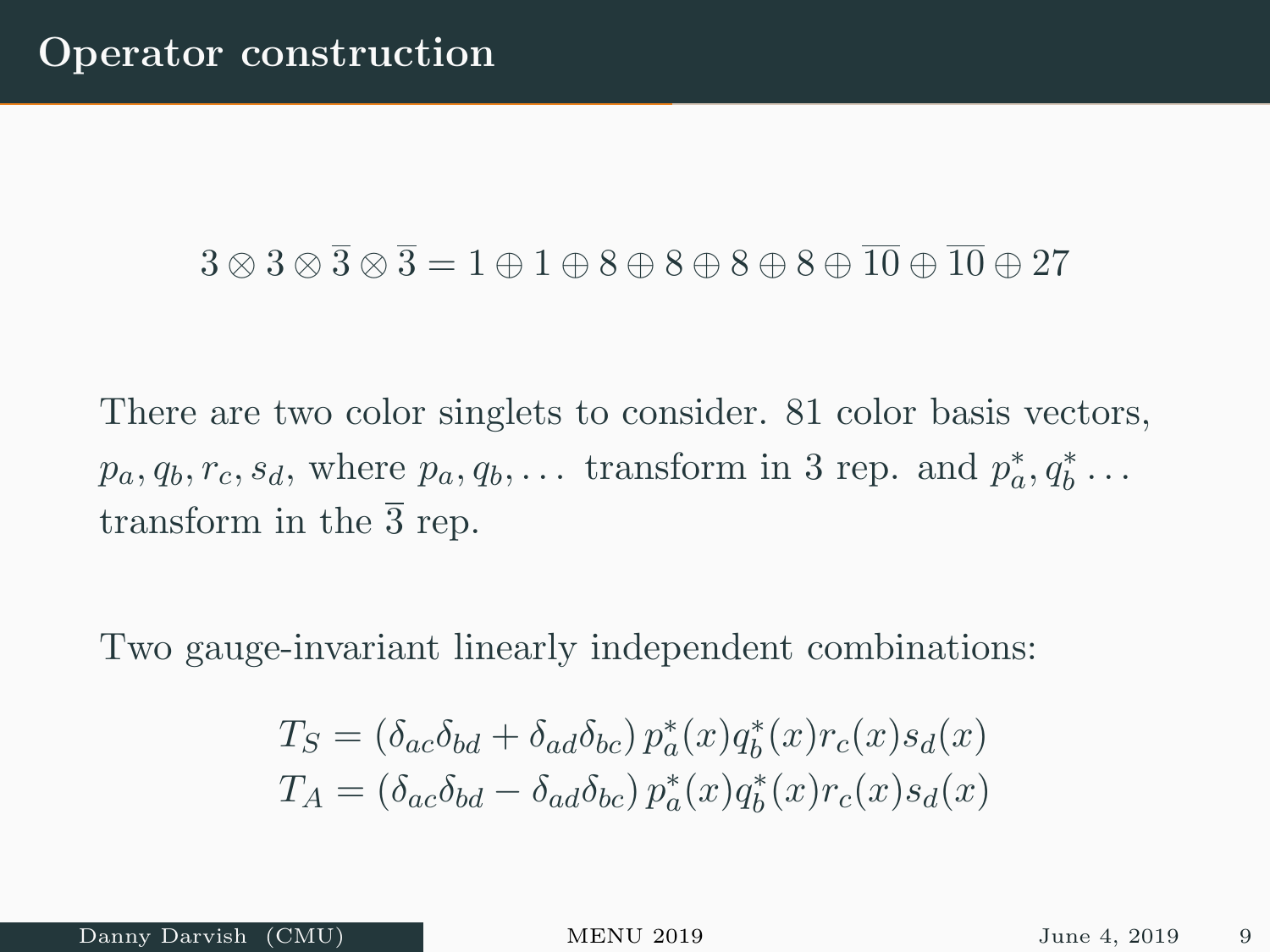### $3 \otimes 3 \otimes \overline{3} \otimes \overline{3} = 1 \oplus 1 \oplus 8 \oplus 8 \oplus 8 \oplus 8 \oplus \overline{10} \oplus \overline{10} \oplus 27$

There are two color singlets to consider. 81 color basis vectors,  $p_a, q_b, r_c, s_d$ , where  $p_a, q_b, \ldots$  transform in 3 rep. and  $p_a^*, q_b^* \ldots$ transform in the  $\overline{3}$  rep.

Two gauge-invariant linearly independent combinations:

$$
T_S = (\delta_{ac}\delta_{bd} + \delta_{ad}\delta_{bc}) p_a^*(x) q_b^*(x) r_c(x) s_d(x)
$$
  

$$
T_A = (\delta_{ac}\delta_{bd} - \delta_{ad}\delta_{bc}) p_a^*(x) q_b^*(x) r_c(x) s_d(x)
$$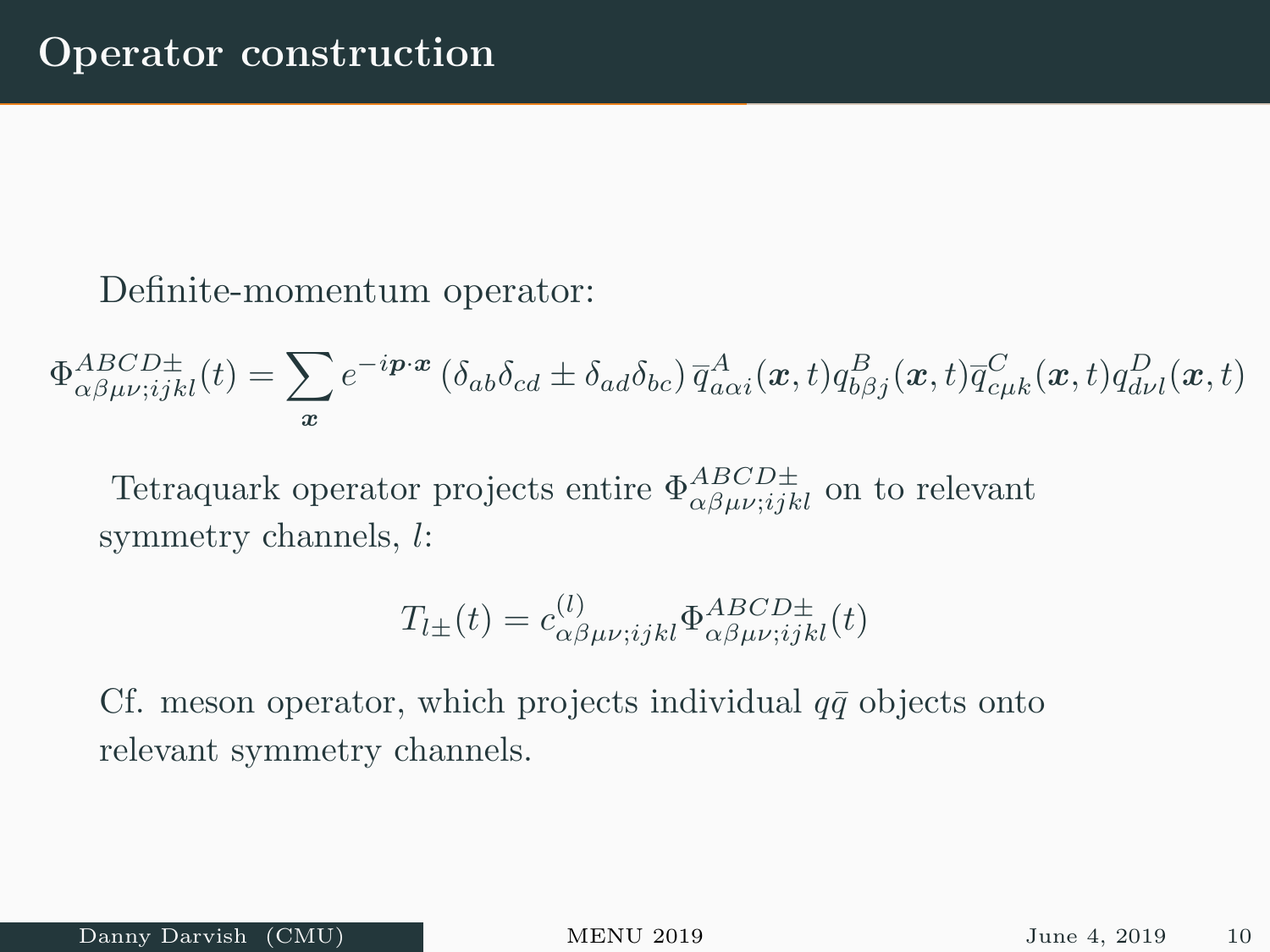Definite-momentum operator:

 $\Phi^{ABCD\pm}_{\alpha\beta\mu\nu;ijkl}(t)=\sum$  $\boldsymbol{x}$  $e^{-i\bm{p}\cdot\bm{x}}\left(\delta_{ab}\delta_{cd}\pm\delta_{ad}\delta_{bc}\right)\overline{q}^A_{a\alpha i}(\bm{x},t)q^B_{b\beta j}(\bm{x},t)\overline{q}^C_{c\mu k}(\bm{x},t)q^D_{d\nu l}(\bm{x},t)$ 

Tetraquark operator projects entire  $\Phi_{\alpha\beta\mu\nu;ijkl}^{ABCD\pm}$  on to relevant symmetry channels, l:

$$
T_{l\pm}(t) = c^{(l)}_{\alpha\beta\mu\nu;ijkl} \Phi^{ABCD\pm}_{\alpha\beta\mu\nu;ijkl}(t)
$$

Cf. meson operator, which projects individual  $q\bar{q}$  objects onto relevant symmetry channels.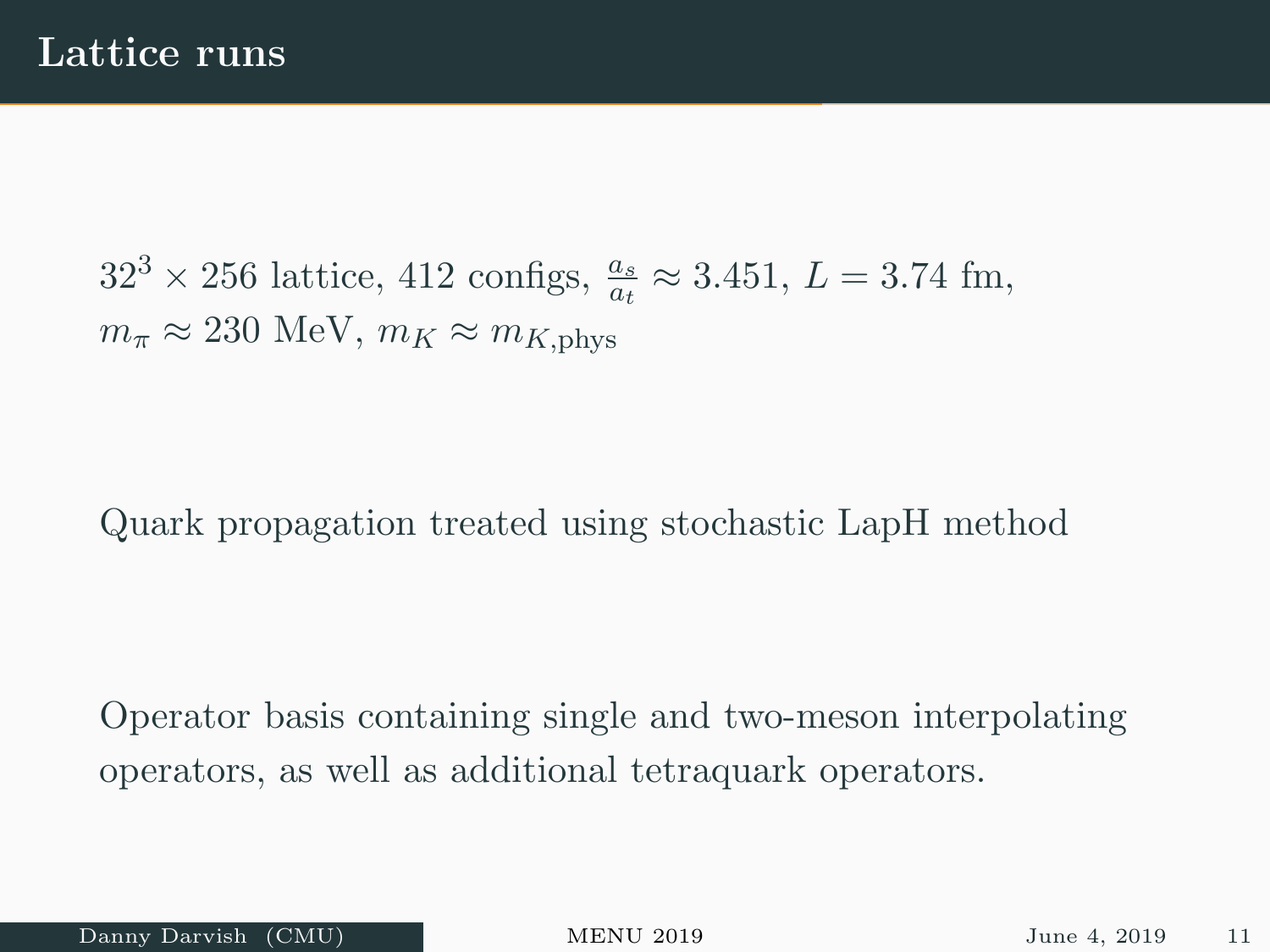$32^3 \times 256$  lattice, 412 configs,  $\frac{a_s}{a_t} \approx 3.451, L = 3.74$  fm,  $m_{\pi} \approx 230$  MeV,  $m_K \approx m_{K, \text{phys}}$ 

Quark propagation treated using stochastic LapH method

Operator basis containing single and two-meson interpolating operators, as well as additional tetraquark operators.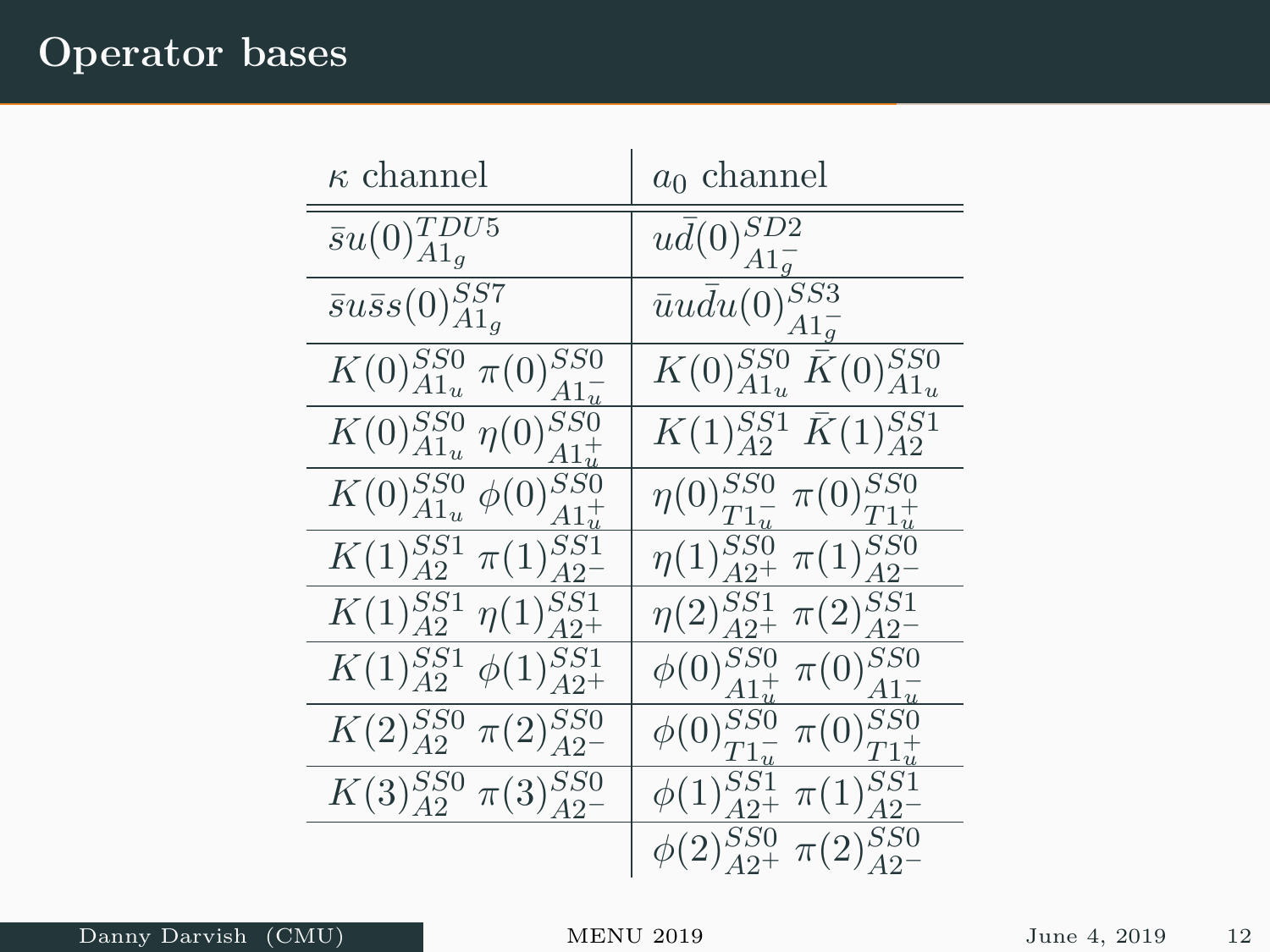### Operator bases

| $\kappa$ channel                                      | $a_0$ channel                                                      |
|-------------------------------------------------------|--------------------------------------------------------------------|
| $\bar{s}u(0)_{A1_g}^{TDU\overline{5}}$                | $u\bar{d}(0)_{A1a}^{SD2}$                                          |
| $\bar{s}u\bar{s}s(0)_{A1_q}^{SS7}$                    | $\overline{\overline{u}}\overline{u}\overline{d}u(0)_{A1_q}^{SS3}$ |
| $K(0)_{A1_u}^{SS0} \pi(0)_{A1}^{SS0}$                 | $K(0)_{A1_u}^{SS0}$ $\bar{K}(0)_{A1_u}^{SS0}$                      |
| $\overline{K(0)_{A1_u}^{SS0}} \eta(0)_{A1_u^+}^{SS0}$ | $K(1)_{A2}^{SS1} \bar{K}(1)_{A2}^{SS1}$                            |
| $\overline{K(0)_{A1_u}^{SS0}} \phi(0)_{A1_u^+}^{SS0}$ | $\eta(0)_{T1}^{SS0}$ $\pi(0)_{T1}^{SS0}$                           |
| $K(1)_{A2}^{SS1}$<br>$\pi(1)_{A2}^{SS1}$              | $\eta(1)_{A2+}^{SS0}$<br>$\pi(1)_{A2-}^{SS0}$                      |
| $K(1)_{A2}^{SS1}$<br>$\eta(1)_{A2^+}^{SS1}$           | $\pi(2)_{A2}^{SS1}$<br>$\eta(2)_{A2^+}^{SS1}$                      |
| $K(1)_{A2}^{SS1}$<br>$\phi(1)_{A2+}^{SSI}$            | $\pi(0)_{A1_u^-}^{SS0}$<br>$\overline{\phi}(0)_{A1_u^+}^{SS0}$     |
| $K(2)_{A2}^{SS0}$<br>$\pi(2)_{A2}^{SS0}$              | $\phi(0)_{T1}^{SS0}$<br>$\pi(0)_{T1_u^+}^{SS0}$                    |
| $K(3)_{A2}^{SS0}$<br>$\pi(3)_{A2-}^{SS0}$             | $\phi(1)_{A2+}^{SS1}$<br>$\pi(1)_{A2}^{SS1}$                       |
|                                                       | $\phi(2)_{A2+}^{SS0}$<br>$\pi(2)_{A2-}^{SS0}$                      |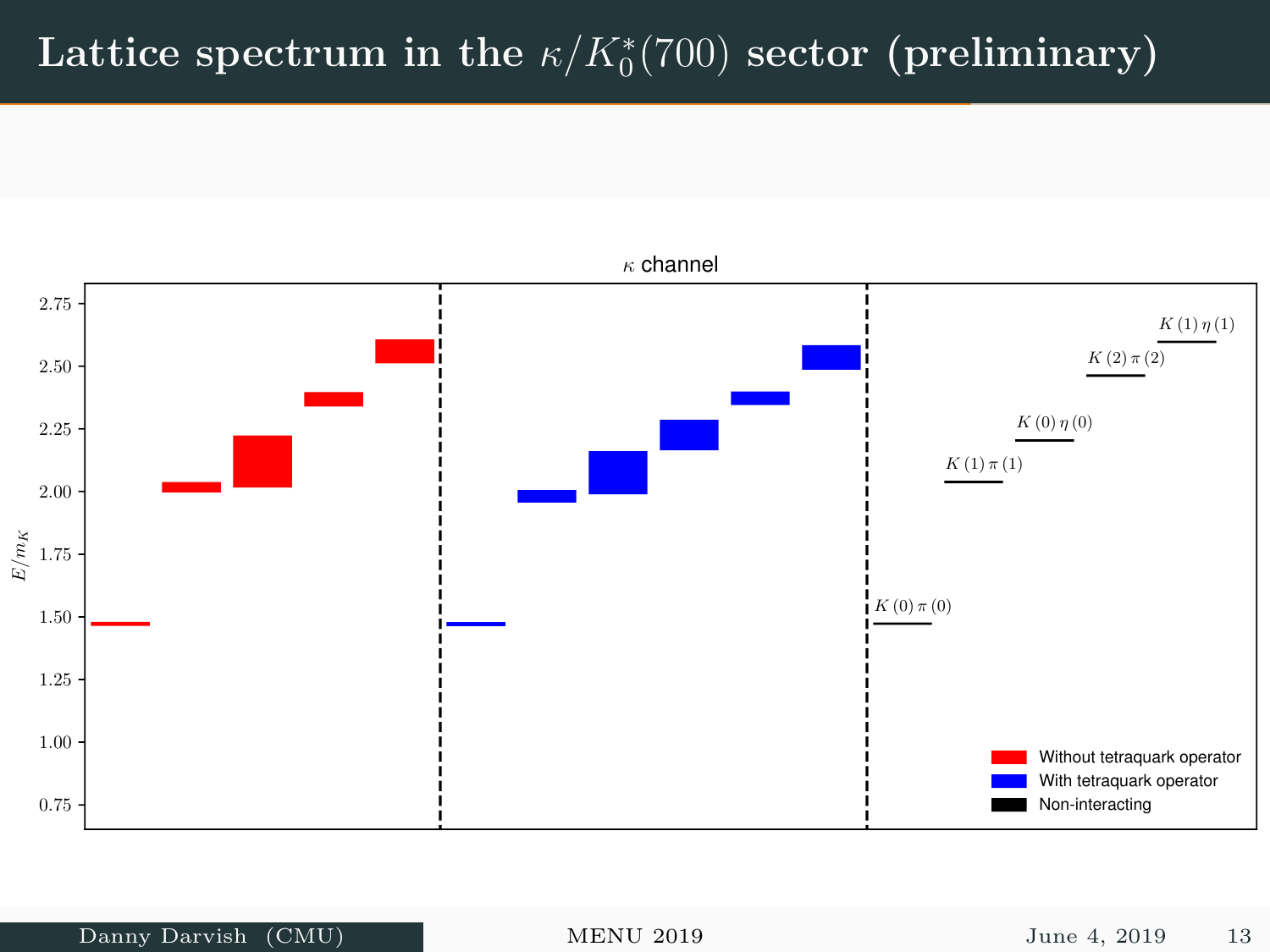# Lattice spectrum in the  $\kappa/K^*_0(700)$  sector (preliminary)

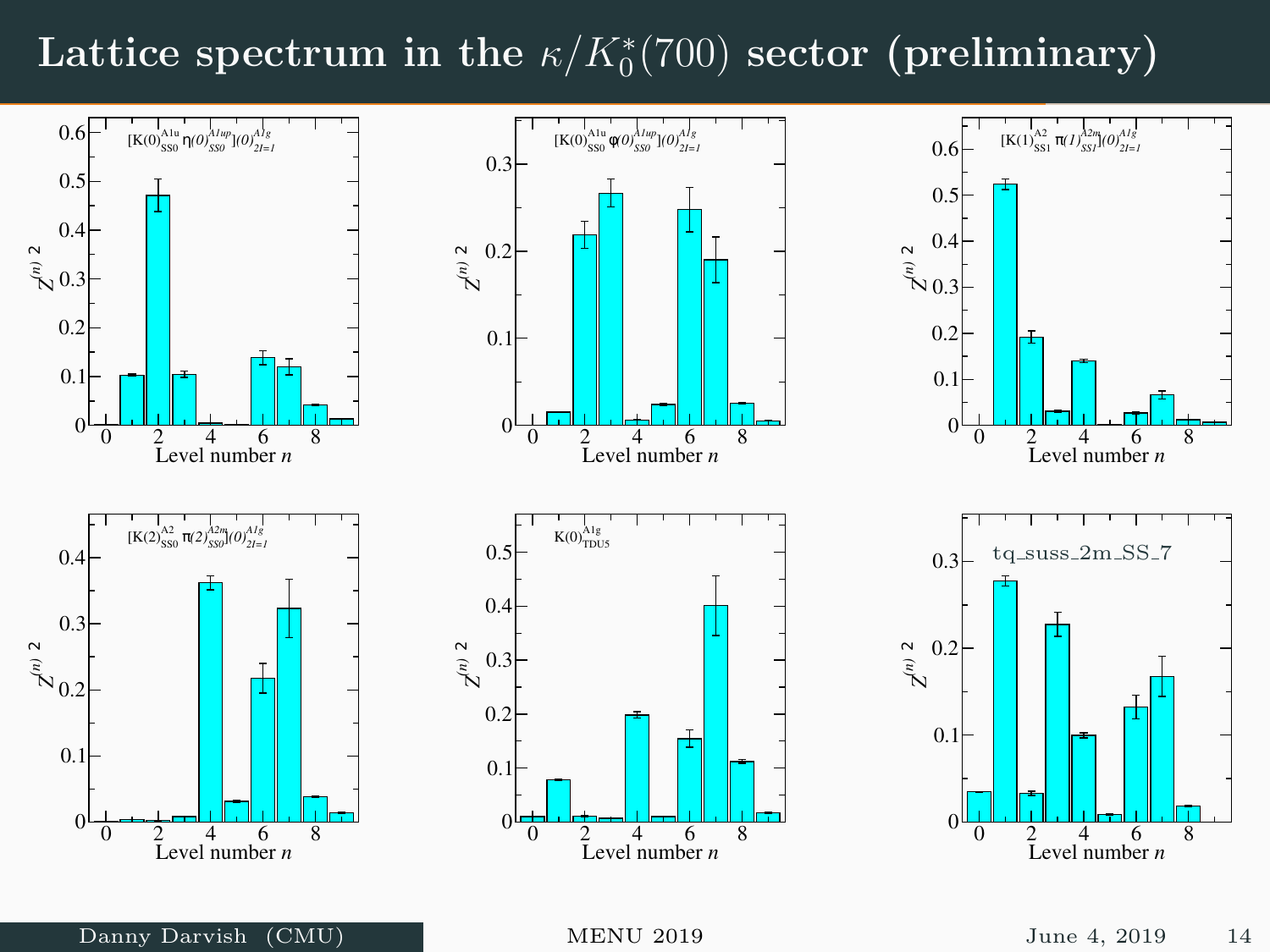# Lattice spectrum in the  $\kappa/K^*_0(700)$  sector (preliminary)

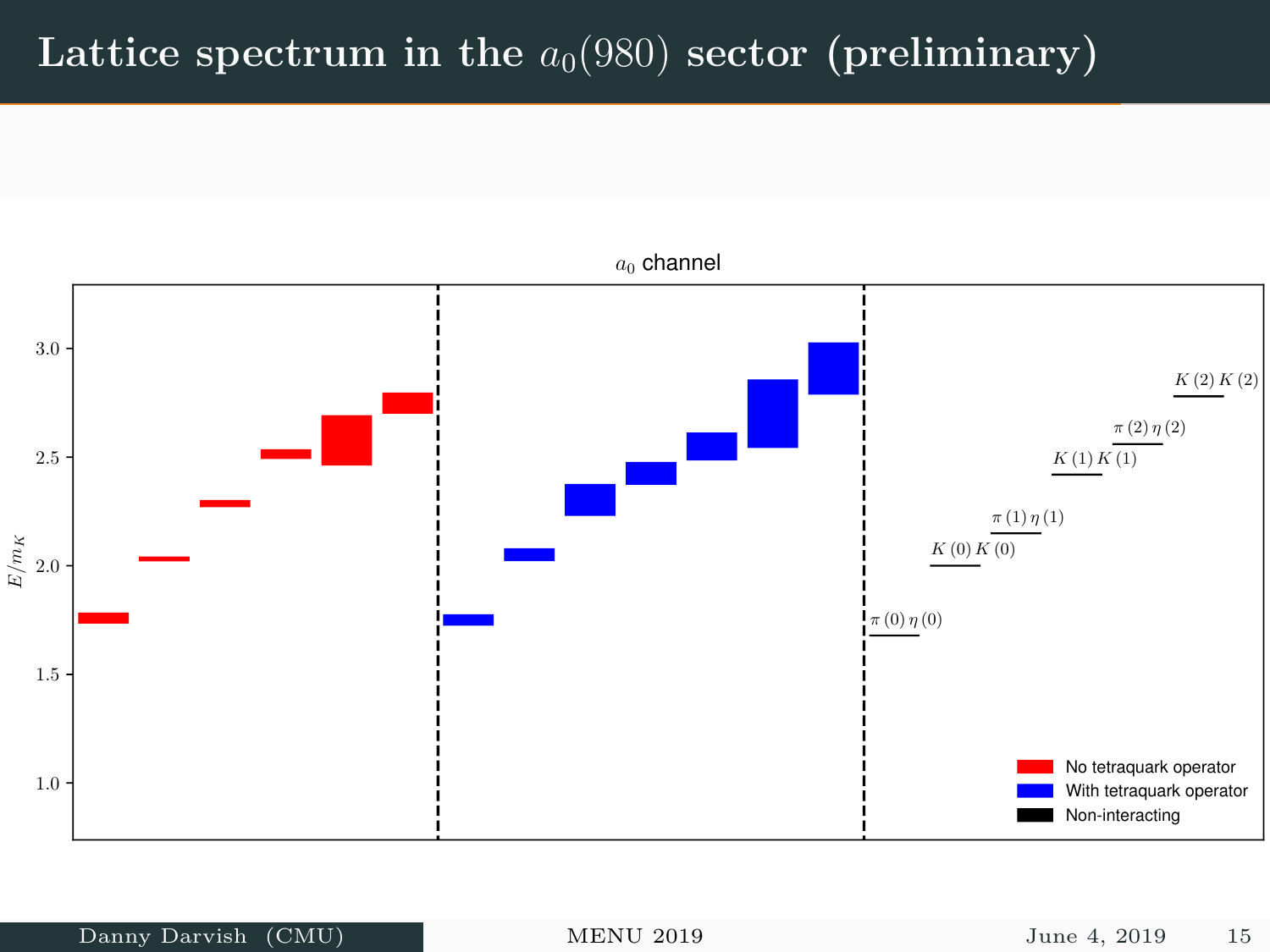## Lattice spectrum in the  $a_0(980)$  sector (preliminary)

![](_page_15_Figure_1.jpeg)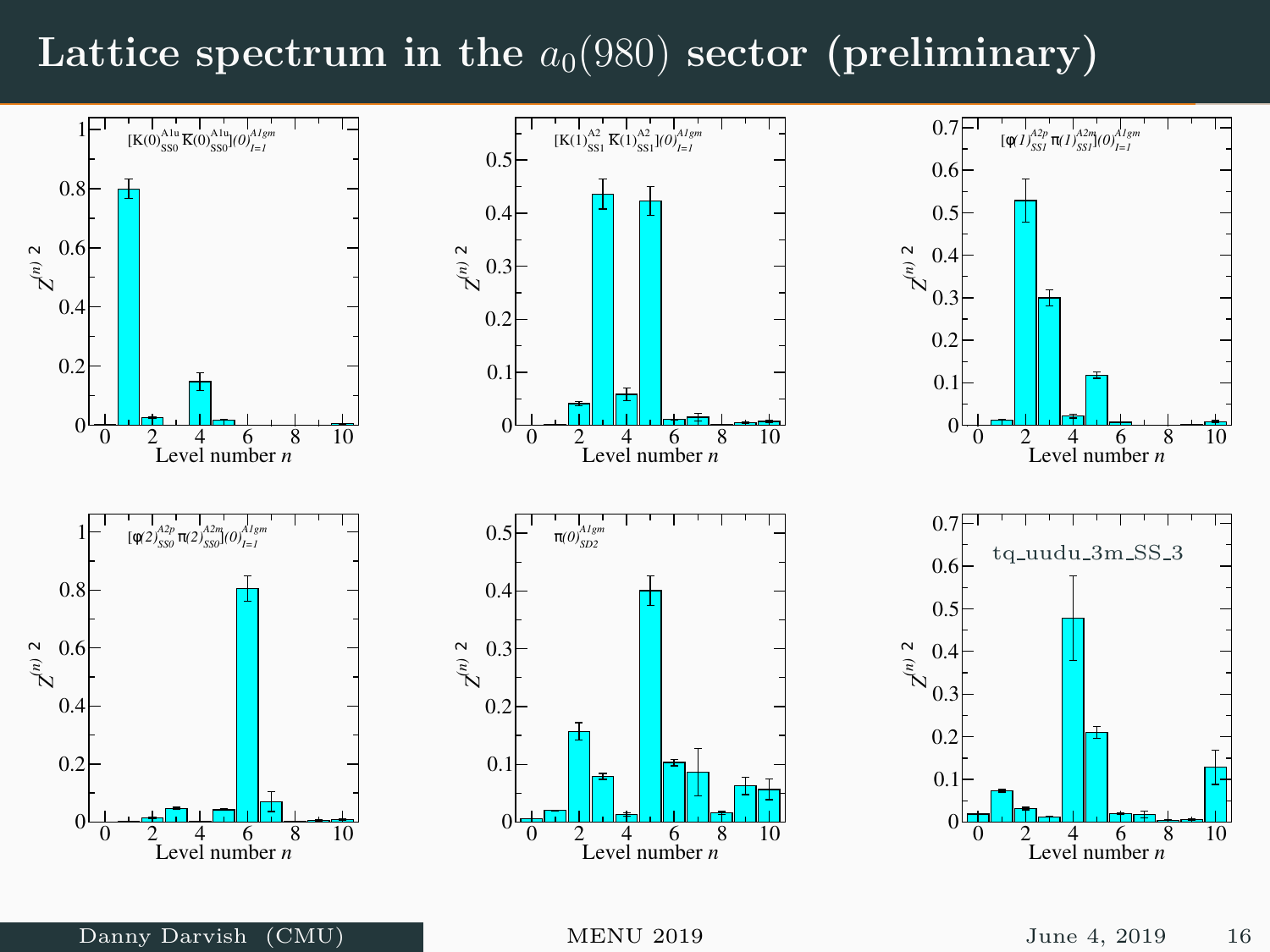### Lattice spectrum in the  $a_0(980)$  sector (preliminary)

![](_page_16_Figure_1.jpeg)